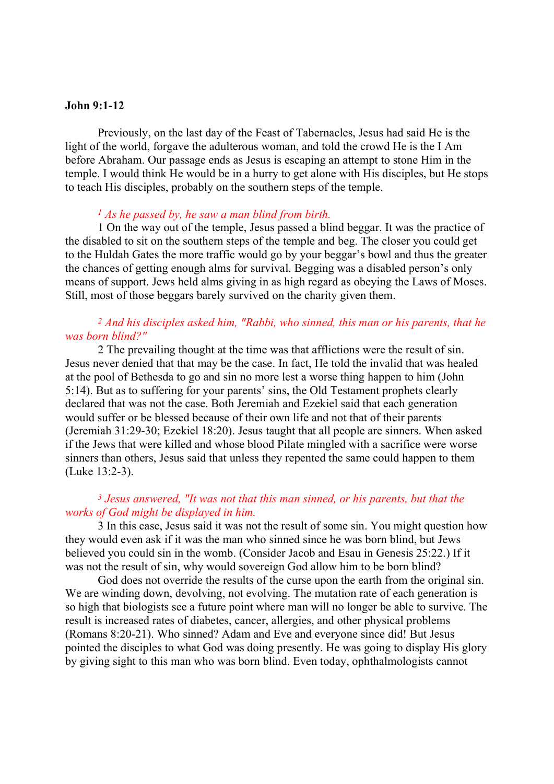### John 9:1-12

Previously, on the last day of the Feast of Tabernacles, Jesus had said He is the light of the world, forgave the adulterous woman, and told the crowd He is the I Am before Abraham. Our passage ends as Jesus is escaping an attempt to stone Him in the temple. I would think He would be in a hurry to get alone with His disciples, but He stops to teach His disciples, probably on the southern steps of the temple.

#### $<sup>1</sup>$  As he passed by, he saw a man blind from birth.</sup>

 1 On the way out of the temple, Jesus passed a blind beggar. It was the practice of the disabled to sit on the southern steps of the temple and beg. The closer you could get to the Huldah Gates the more traffic would go by your beggar's bowl and thus the greater the chances of getting enough alms for survival. Begging was a disabled person's only means of support. Jews held alms giving in as high regard as obeying the Laws of Moses. Still, most of those beggars barely survived on the charity given them.

## <sup>2</sup> And his disciples asked him, "Rabbi, who sinned, this man or his parents, that he was born blind?"

 2 The prevailing thought at the time was that afflictions were the result of sin. Jesus never denied that that may be the case. In fact, He told the invalid that was healed at the pool of Bethesda to go and sin no more lest a worse thing happen to him (John 5:14). But as to suffering for your parents' sins, the Old Testament prophets clearly declared that was not the case. Both Jeremiah and Ezekiel said that each generation would suffer or be blessed because of their own life and not that of their parents (Jeremiah 31:29-30; Ezekiel 18:20). Jesus taught that all people are sinners. When asked if the Jews that were killed and whose blood Pilate mingled with a sacrifice were worse sinners than others, Jesus said that unless they repented the same could happen to them (Luke 13:2-3).

## $3$  Jesus answered, "It was not that this man sinned, or his parents, but that the works of God might be displayed in him.

 3 In this case, Jesus said it was not the result of some sin. You might question how they would even ask if it was the man who sinned since he was born blind, but Jews believed you could sin in the womb. (Consider Jacob and Esau in Genesis 25:22.) If it was not the result of sin, why would sovereign God allow him to be born blind?

God does not override the results of the curse upon the earth from the original sin. We are winding down, devolving, not evolving. The mutation rate of each generation is so high that biologists see a future point where man will no longer be able to survive. The result is increased rates of diabetes, cancer, allergies, and other physical problems (Romans 8:20-21). Who sinned? Adam and Eve and everyone since did! But Jesus pointed the disciples to what God was doing presently. He was going to display His glory by giving sight to this man who was born blind. Even today, ophthalmologists cannot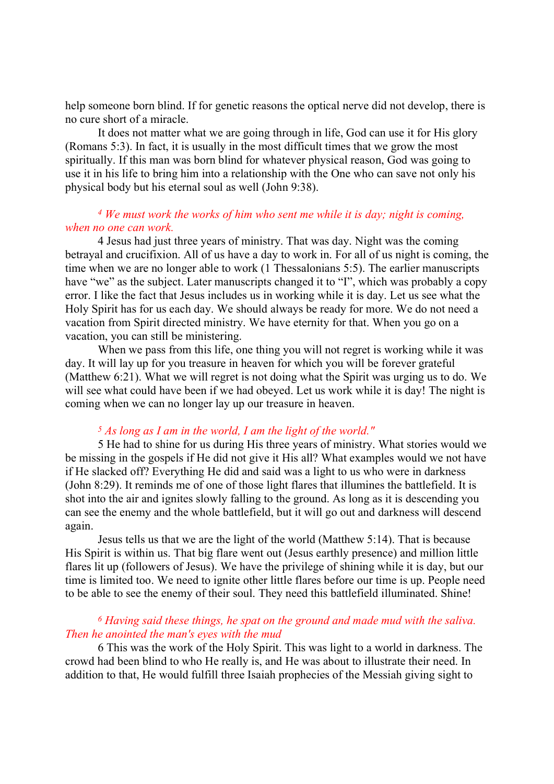help someone born blind. If for genetic reasons the optical nerve did not develop, there is no cure short of a miracle.

It does not matter what we are going through in life, God can use it for His glory (Romans 5:3). In fact, it is usually in the most difficult times that we grow the most spiritually. If this man was born blind for whatever physical reason, God was going to use it in his life to bring him into a relationship with the One who can save not only his physical body but his eternal soul as well (John 9:38).

## <sup>4</sup> We must work the works of him who sent me while it is day; night is coming, when no one can work.

4 Jesus had just three years of ministry. That was day. Night was the coming betrayal and crucifixion. All of us have a day to work in. For all of us night is coming, the time when we are no longer able to work (1 Thessalonians 5:5). The earlier manuscripts have "we" as the subject. Later manuscripts changed it to "I", which was probably a copy error. I like the fact that Jesus includes us in working while it is day. Let us see what the Holy Spirit has for us each day. We should always be ready for more. We do not need a vacation from Spirit directed ministry. We have eternity for that. When you go on a vacation, you can still be ministering.

When we pass from this life, one thing you will not regret is working while it was day. It will lay up for you treasure in heaven for which you will be forever grateful (Matthew 6:21). What we will regret is not doing what the Spirit was urging us to do. We will see what could have been if we had obeyed. Let us work while it is day! The night is coming when we can no longer lay up our treasure in heaven.

#### $5$  As long as I am in the world, I am the light of the world."

5 He had to shine for us during His three years of ministry. What stories would we be missing in the gospels if He did not give it His all? What examples would we not have if He slacked off? Everything He did and said was a light to us who were in darkness (John 8:29). It reminds me of one of those light flares that illumines the battlefield. It is shot into the air and ignites slowly falling to the ground. As long as it is descending you can see the enemy and the whole battlefield, but it will go out and darkness will descend again.

Jesus tells us that we are the light of the world (Matthew 5:14). That is because His Spirit is within us. That big flare went out (Jesus earthly presence) and million little flares lit up (followers of Jesus). We have the privilege of shining while it is day, but our time is limited too. We need to ignite other little flares before our time is up. People need to be able to see the enemy of their soul. They need this battlefield illuminated. Shine!

# <sup>6</sup> Having said these things, he spat on the ground and made mud with the saliva. Then he anointed the man's eyes with the mud

6 This was the work of the Holy Spirit. This was light to a world in darkness. The crowd had been blind to who He really is, and He was about to illustrate their need. In addition to that, He would fulfill three Isaiah prophecies of the Messiah giving sight to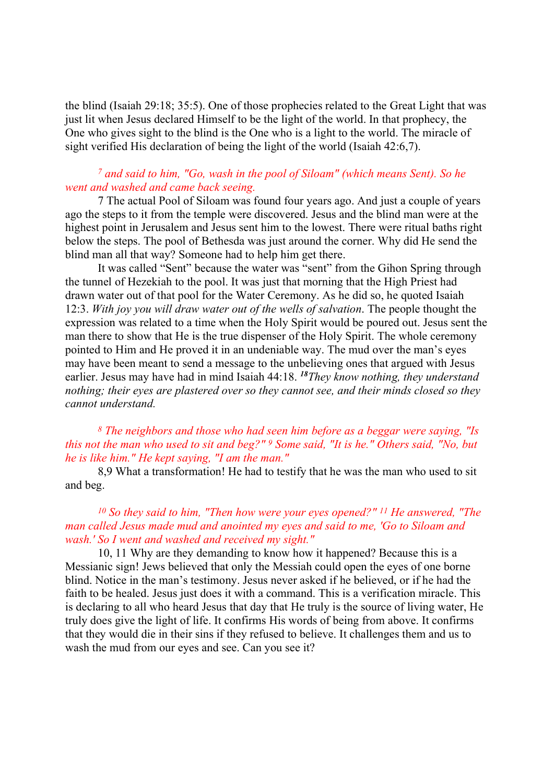the blind (Isaiah 29:18; 35:5). One of those prophecies related to the Great Light that was just lit when Jesus declared Himself to be the light of the world. In that prophecy, the One who gives sight to the blind is the One who is a light to the world. The miracle of sight verified His declaration of being the light of the world (Isaiah 42:6,7).

## <sup>7</sup> and said to him, "Go, wash in the pool of Siloam" (which means Sent). So he went and washed and came back seeing.

7 The actual Pool of Siloam was found four years ago. And just a couple of years ago the steps to it from the temple were discovered. Jesus and the blind man were at the highest point in Jerusalem and Jesus sent him to the lowest. There were ritual baths right below the steps. The pool of Bethesda was just around the corner. Why did He send the blind man all that way? Someone had to help him get there.

It was called "Sent" because the water was "sent" from the Gihon Spring through the tunnel of Hezekiah to the pool. It was just that morning that the High Priest had drawn water out of that pool for the Water Ceremony. As he did so, he quoted Isaiah 12:3. With joy you will draw water out of the wells of salvation. The people thought the expression was related to a time when the Holy Spirit would be poured out. Jesus sent the man there to show that He is the true dispenser of the Holy Spirit. The whole ceremony pointed to Him and He proved it in an undeniable way. The mud over the man's eyes may have been meant to send a message to the unbelieving ones that argued with Jesus earlier. Jesus may have had in mind Isaiah 44:18. <sup>18</sup>They know nothing, they understand nothing; their eyes are plastered over so they cannot see, and their minds closed so they cannot understand.

<sup>8</sup> The neighbors and those who had seen him before as a beggar were saying, "Is this not the man who used to sit and beg?" <sup>9</sup> Some said, "It is he." Others said, "No, but he is like him." He kept saying, "I am the man."

8,9 What a transformation! He had to testify that he was the man who used to sit and beg.

# <sup>10</sup> So they said to him, "Then how were your eyes opened?" 11 He answered, "The man called Jesus made mud and anointed my eyes and said to me, 'Go to Siloam and wash.' So I went and washed and received my sight."

10, 11 Why are they demanding to know how it happened? Because this is a Messianic sign! Jews believed that only the Messiah could open the eyes of one borne blind. Notice in the man's testimony. Jesus never asked if he believed, or if he had the faith to be healed. Jesus just does it with a command. This is a verification miracle. This is declaring to all who heard Jesus that day that He truly is the source of living water, He truly does give the light of life. It confirms His words of being from above. It confirms that they would die in their sins if they refused to believe. It challenges them and us to wash the mud from our eyes and see. Can you see it?